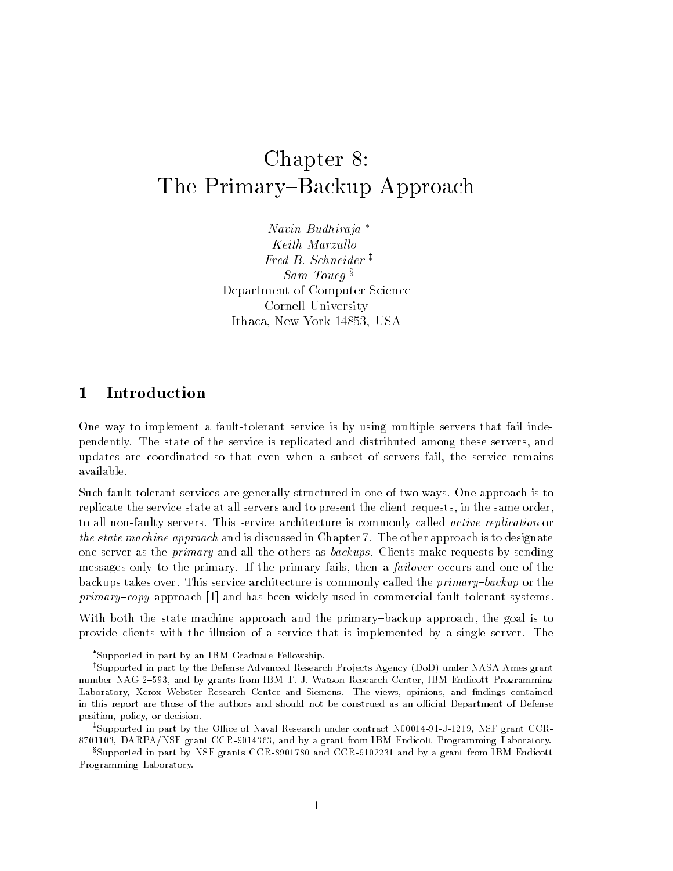# chapter - Chapter - Chapter - Chapter - Chapter - Chapter - Chapter - Chapter - Chapter - Chapter - Chapter - C The Primary-Backup Approach

Navin Budhiraja Keith Marzullo y year rrea p. Schneider z Sam Toueg<sup>x</sup> Department of Computer Science Cornell University Ithaca- New York - USA

# $\mathbf{1}$ Introduction

One way to implement a fault-tolerant service is by using multiple servers that fail independently The state of the service is replicated and distributed among these servers and updates are coordinated so that even when a subset of servers fail the service remains available

such the services are services and  $A$  and  $m$  is to the service in order in order  $m$  probacles is to replicate the service state at all servers and to present the client requests in the same order to all non-faulty servers This service architecture is commonly called active replication or the state machine approach and is discussed in Chapter 7. The other approach is to designate one server as the *primary* and all the others as *backups*. Clients make requests by sending messages only to the primary. If the primary fails, then a *failover* occurs and one of the backups takes over This service architecture is commonly called the primary-primaryprimary-copy approach and has been widely used in commercial fault-tolerant systems

With both the state machine approach and the primary-backup approach, the goal is to provide clients with the illusion of a service that is implemented by a single server The

Supported in part by an IBM Graduate Fellowship-

<sup>&</sup>lt;sup>†</sup>Supported in part by the Defense Advanced Research Projects Agency (DoD) under NASA Ames grant number NAG IBM T-1 and by grants from IBM T-1 and the IBM T-1 and the IBM T-1 and IBM T-1 and IBM T-1 and IBM T-Laboratory Xerox Webster Research Center and Siemens- The views opinions and ndings contained in this report are those of the authors and should not be construed as an official Department of Defense position and the contract of the contract of the contract of the contract of the contract of the contract of the contract of the contract of the contract of the contract of the contract of the contract of the contract of t

<sup>&</sup>quot;Supported in part by the Office of Naval Research under contract N00014-91-J-1219, NSF grant CCR- DARPANSF grant CCR
 and by a grant from IBM Endicott Programming Laboratory-

 $S$ upported in part by NSF grants CCR-8901780 and CCR-9102231 and by a grant from IBM Endicott Programming Laboratory-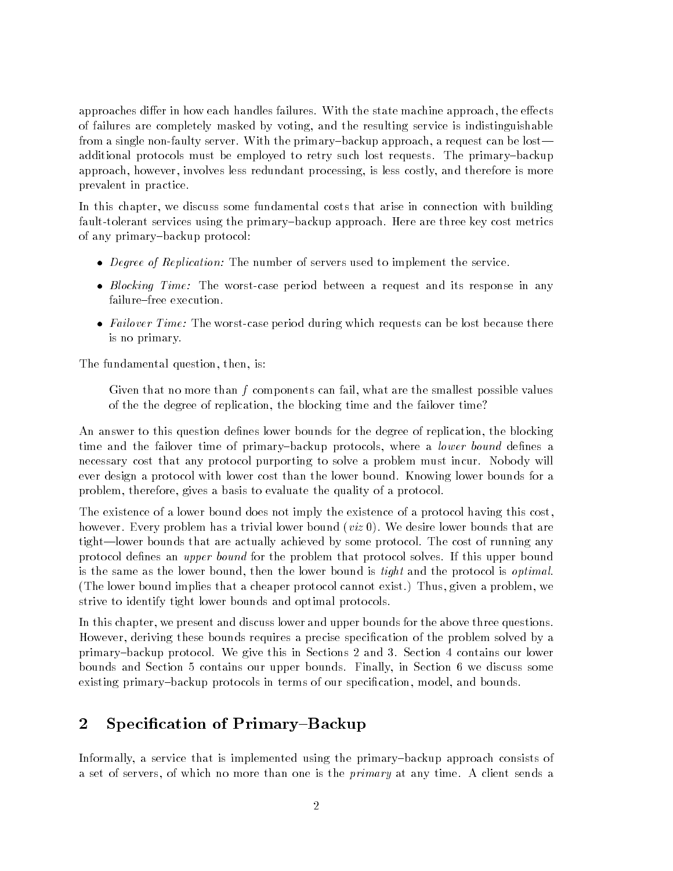approaches di er in how each handles failures With the state machine approach the e ects of failures are completely masked by voting and the resulting service is indistinguishable faulty server with the server with the primary of the primary of the primary of the primary backup and the los additional protocols must be employed to retry such lost requests. The primary-backup approach, however, involves less redundant processing, is less costly, and therefore is more prevalent in practice

In this chapter, we discuss some fundamental costs that arise in connection with building fault-tolerant services using the primary backup approach Here are three key cost metrics of any primary-backup protocol:

- $\bullet$  Degree of Replication: The number of servers used to implement the service.
- Blocking Time The worst-case period between a request and its response in any failure–free execution.
- Failover Time The worst-case period during which requests can be lost because there is no primary

The fundamental question, then, is:

Given that no more than  $f$  components can fail, what are the smallest possible values of the the degree of replication, the blocking time and the failover time?

An answer to this question defines lower bounds for the degree of replication, the blocking time and the failover time of primary-backup protocols, where a *lower bound* defines a necessary cost that any protocol purporting to solve a problem must incur. Nobody will ever design a protocol with lower cost than the lower bound. Knowing lower bounds for a problem, therefore, gives a basis to evaluate the quality of a protocol.

The existence of a lower bound does not imply the existence of a protocol having this cost however. Every problem has a trivial lower bound ( $viz 0$ ). We desire lower bounds that are tight—lower bounds that are actually achieved by some protocol. The cost of running any protocol defines an *upper bound* for the problem that protocol solves. If this upper bound is the same as the lower bound, then the lower bound is tight and the protocol is *optimal*. (The lower bound implies that a cheaper protocol cannot exist.) Thus, given a problem, we strive to identify tight lower bounds and optimal protocols

In this chapter, we present and discuss lower and upper bounds for the above three questions. However, deriving these bounds requires a precise specification of the problem solved by a primary-backup protocol. We give this in Sections 2 and 3. Section 4 contains our lower bounds and Section 5 contains our upper bounds. Finally, in Section 6 we discuss some existing primary-backup protocols in terms of our specification, model, and bounds.

# $\overline{2}$ Specification of Primary–Backup

Informally, a service that is implemented using the primary-backup approach consists of a set of servers, of which no more than one is the *primary* at any time. A client sends a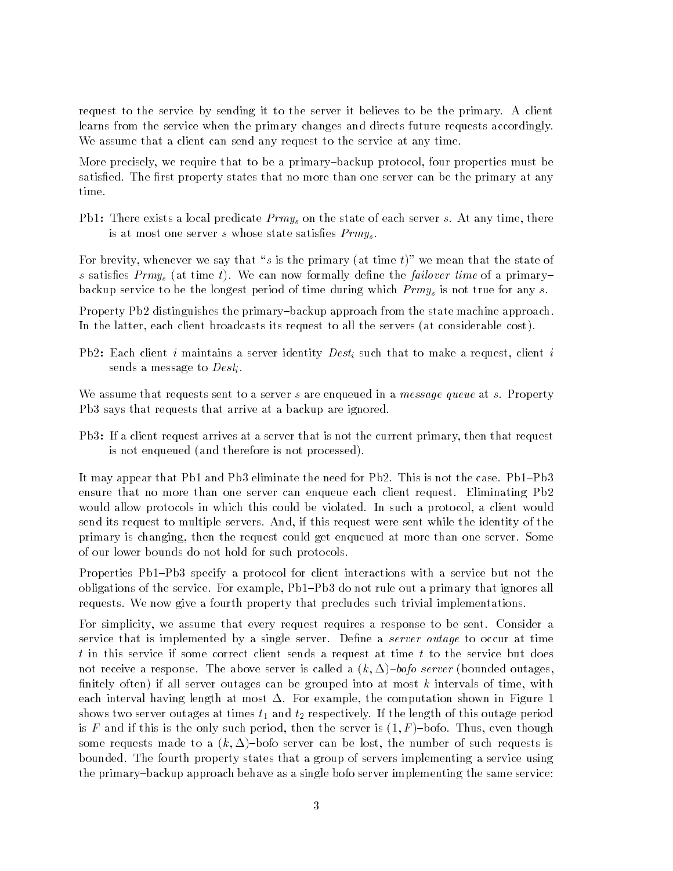request to the service by sending it to the server it believes to be the primary A client learns from the service when the primary changes and directs future requests accordingly We assume that a client can send any request to the service at any time.

More precisely, we require that to be a primary-backup protocol, four properties must be satisfied. The first property states that no more than one server can be the primary at any time

Pb1: There exists a local predicate  $Prmy_s$  on the state of each server s. At any time, there is at most one server s whose state satisfies  $Prm_{s}$ .

For brevity, whenever we say that "s is the primary (at time  $t$ )" we mean that the state of s satisfies  $Prmy_s$  (at time t). We can now formally define the *failover time* of a primarybackup service to be the longest period of time during which  $Prmy_s$  is not true for any s.

Property Pb2 distinguishes the primary-backup approach from the state machine approach. In the latter, each client broadcasts its request to all the servers (at considerable  $cost$ ).

Pb2: Each client i maintains a server identity  $Dest_i$  such that to make a request, client i sends a message to  $Dest_i$ .

We assume that requests sent to a server s are enqueued in a *message queue* at s. Property Pb3 says that requests that arrive at a backup are ignored.

Pb3: If a client request arrives at a server that is not the current primary, then that request is not enqueued (and therefore is not processed).

It may appear that Pb1 and Pb3 eliminate the need for Pb2. This is not the case. Pb1–Pb3 ensure that no more than one server can enqueue each client request. Eliminating Pb2 would allow protocols in which this could be violated. In such a protocol, a client would send its request to multiple servers And if this request were sent while the identity of the primary is changing then the request could get enqueued at more than one server Some of our lower bounds do not hold for such protocols

Properties Pb1–Pb3 specify a protocol for client interactions with a service but not the obligations of the service. For example, Pb1–Pb3 do not rule out a primary that ignores all requests We now give a fourth property that precludes such trivial implementations

For simplicity we assume that every request requires a response to be sent Consider a service that is implemented by a single server. Define a *server outage* to occur at time t in this service if some correct client sends a request at time t to the service but does not receive a response to me above server is called a  $\{ \cdots \}$  , and the above server bounded finitely often) if all server outages can be grouped into at most k intervals of time, with each interval having length at most  $\Delta$ . For example, the computation shown in Figure 1 shows two server outlied to times the length of the length of the length of this outlies the length period. is F and if the only such period then the server is  $\mathbf{A}$  and the server is  $\mathbf{A}$ some requests made to a quitting a constant can be requested to a constant of such requests is a bounded The fourth property states that a group of servers implementing a service using the primary-backup approach behave as a single bofo server implementing the same service: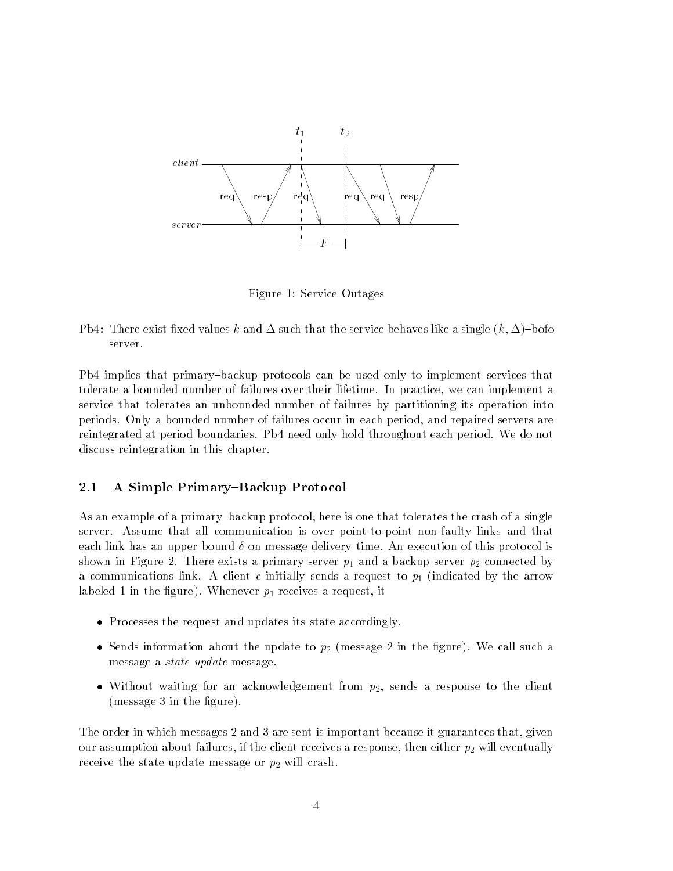

Figure 1: Service Outages

 $\mathcal{L}$  . There exists the service behavior is and the service behavior behaves like a single k-  $\mathcal{L}$  , and the server

Pb4 implies that primary-backup protocols can be used only to implement services that tolerate a bounded number of failures over their lifetime. In practice, we can implement a service that tolerates an unbounded number of failures by partitioning its operation into periods Only a bounded number of failures occur in each period and repaired servers are reintegrated at period boundaries. Pb4 need only hold throughout each period. We do not discuss reintegration in this chapter

#### $2.1$ A Simple Primary–Backup Protocol

As an example of a primary-backup protocol, here is one that tolerates the crash of a single to-to-that and that all communications is over point-to-point-to-point-to-maneach link has an upper bound  $\delta$  on message delivery time. An execution of this protocol is shown in Figure There exists a primary server p and a backup server p- connected by a communications link. A client c initially sends a request to  $p_1$  (indicated by the arrow labeled 1 in the figure). Whenever  $p_1$  receives a request, it

- Processes the request and updates its state accordingly.
- Sends into the use in the update to p-p-linearing to an into the p-p-linear the such as message a state update message
- with the contracted for an activity waiting from p-response to the client from p-response to the client to the (message  $3$  in the figure).

The order in which messages 2 and 3 are sent is important because it guarantees that, given our assumption about failures if the client receives a response then either p- will eventually receive the state update message or p- will crash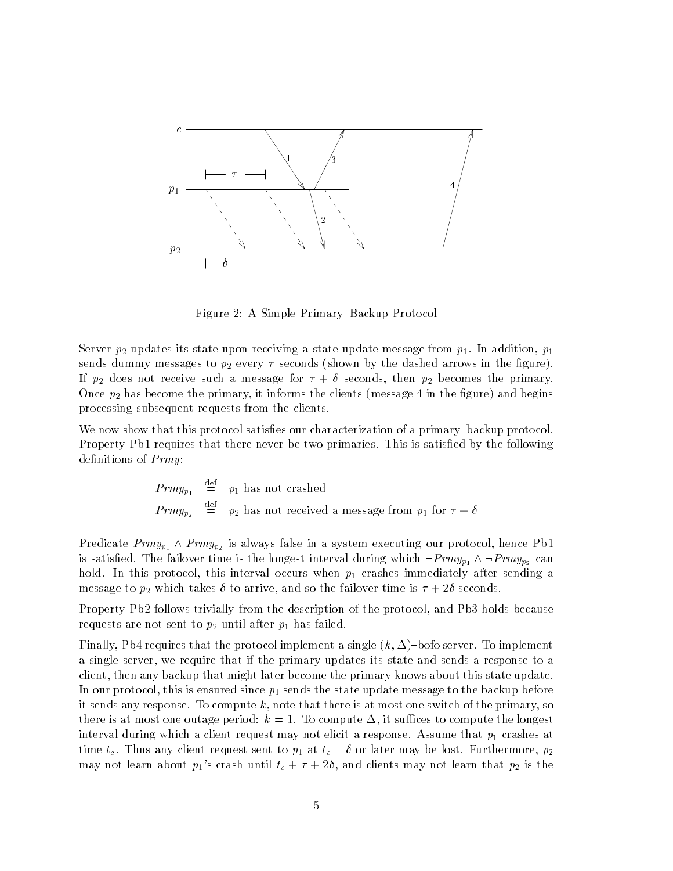

Figure 2: A Simple Primary-Backup Protocol

Server p- updates its state upon receiving a state update message from p In addition p sends dummy messages to p-p-citery in the data was shown by the dashed arrows in the data arrows in the gure o If p- does not receive such a message for seconds then p- becomes the primary  $\mathcal{P} = \{ \mathcal{P} \mid \mathcal{P} \}$  is a comparison the clients message in the gure and begins message in the gure and begins message in the gure and begins message in the gure and begins message in the gure and begins message in processing subsequent requests from the clients

We now show that this protocol satisfies our characterization of a primary-backup protocol. Property Pb1 requires that there never be two primaries. This is satisfied by the following definitions of  $Prmy$ :

$$
\begin{array}{rcl}\nPrmy_{p_1} & \stackrel{\text{def}}{=} & p_1 \text{ has not crashed} \\
Prmy_{p_2} & \stackrel{\text{def}}{=} & p_2 \text{ has not received a message from } p_1 \text{ for } \tau + \delta\n\end{array}
$$

is always false in a system  $\mathcal{P}_2$  for a system executive our protocol  $\mathcal{P}_1$  , where  $\mathcal{P}_2$  is a system execution of  $\mathcal{P}_2$ is satisfied. The faile for time is the longest interval during which  $\mathbb{P}_p$  is  $\mathbb{P}_p$  and  $\mathbb{P}_p$ hold. In this protocol, this interval occurs when  $p_1$  crashes immediately after sending a message to p- which to arrive and so the failure and so the failure time is  $\mathcal{A} = \mathcal{A}$ 

Property Pb2 follows trivially from the description of the protocol, and Pb3 holds because requests are not sent to p-p-matter after p <sub>h</sub> matter p  $\mathbf{r}_1$  after a strong at

 $\mathcal{L}$  requires that the protocol implement a single k-  $\mathcal{L}$  , which is the single single single single single single single single single single single single single single single single single single single single a single server, we require that if the primary updates its state and sends a response to a client, then any backup that might later become the primary knows about this state update. In our protocol, this is ensured since  $p_1$  sends the state update message to the backup before it sends any response. To compute k, note that there is at most one switch of the primary, so there is at most one outage period:  $k = 1$ . To compute  $\Delta$ , it suffices to compute the longest interval during which a client request may not elicit a response. Assume that  $p_1$  crashes at time  $t_c$ . Thus any client request sent to  $p_1$  at  $t_c - \delta$  or later may be lost. Furthermore,  $p_2$ may not learn about ps crash until tc and clients may not learn that p- is the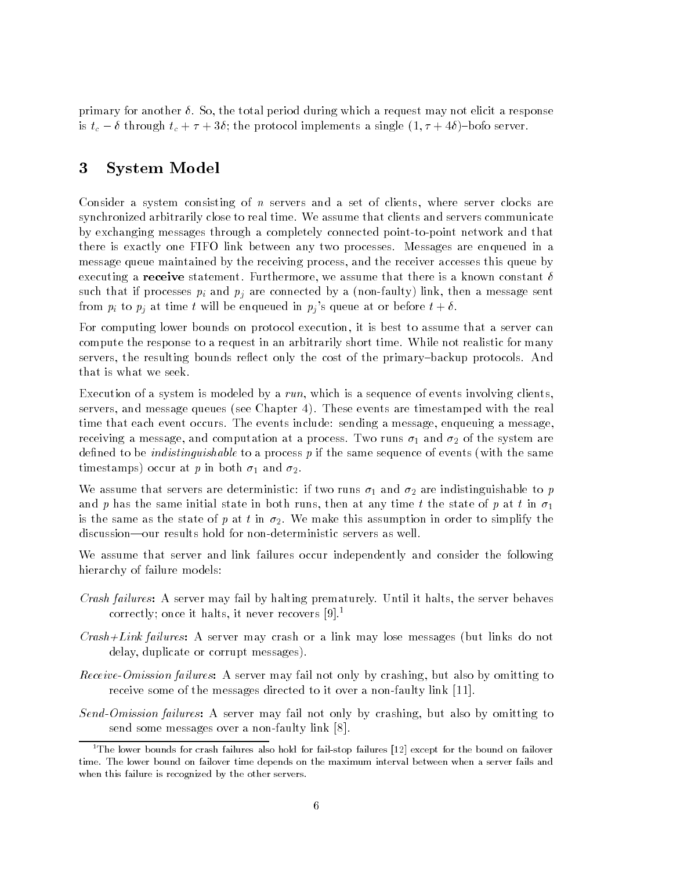primary for another  $\delta$ . So, the total period during which a request may not elicit a response is to a through to the protocol indicate through the protocol indicate  $\lambda$  in the protocol interest.

# 3 System Model

Consider a system consisting of n servers and a set of clients, where server clocks are synchronized arbitrarily close to real time. We assume that clients and servers communicate by exchanging messages through a completely connected point-to-point network and that there is exactly one FIFO link between any two processes Messages are enqueued in a message queue maintained by the receiving process and the receiver accesses this queue by executing a receive statement. Furthermore, we assume that there is a known constant  $\delta$ such that if processes pi and pj are connected by a non-faulty link then a message sent from  $p_i$  to  $p_j$  at time t will be enqueued in  $p_j$ 's queue at or before  $t + \delta$ .

For computing lower bounds on protocol execution it is best to assume that a server can compute the response to a request in an arbitrarily short time. While not realistic for many servers, the resulting bounds reflect only the cost of the primary-backup protocols. And that is what we seek

Execution of a system is modeled by a run, which is a sequence of events involving clients, servers, and message queues (see Chapter 4). These events are timestamped with the real time that each event occurs. The events include: sending a message, enqueuing a message, receiving a message and computation at a process Two runs and - of the system are defined to be *indistinguishable* to a process  $p$  if the same sequence of events (with the same timestamps occur at <sup>p</sup> in both and -

we assume that servers are international to the servers are  $\frac{1}{2}$  that  $\frac{1}{2}$  are individual to provide the p and p has the same initial state in both runs, then at any time t the state of p at t in  $\sigma_1$ is the same as the state of p at t in the state this assumption in order the state to simplify the state of  $\sim$ 

We assume that server and link failures occur independently and consider the following hierarchy of failure models:

- Crash failures: A server may fail by halting prematurely. Until it halts, the server behaves correctly; once it halts, it never recovers  $[9]$ <sup>1</sup>
- $Crash+Link$  failures: A server may crash or a link may lose messages (but links do not delay, duplicate or corrupt messages).
- *Receive-Omission failures:* A server may fail not only by crashing, but also by omitting to receive some of the messages directed to it over a non-faulty link
- Send-Omission failures: A server may fail not only by crashing, but also by omitting to send some messages over a non-bommer, mens is jo

 $^4\rm{The}$  lower bounds for crash failures also hold for fail-stop failures [12] except for the bound on failover time- The lower bound on failover time depends on the maximum interval between when a server fails and when this failure is recognized by the other servers.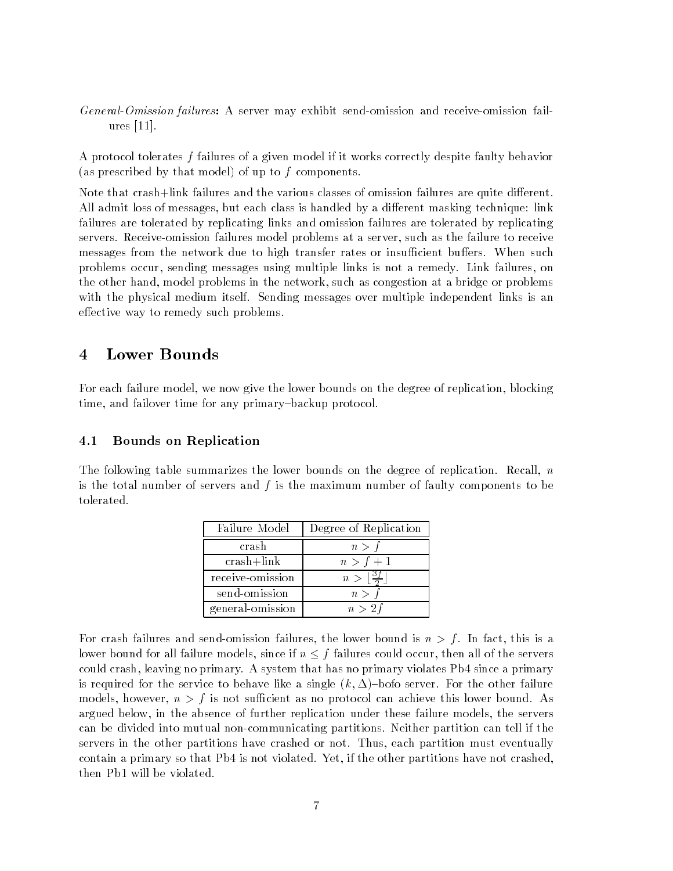GeneralOmission failures A server may exhibit send-omission and receive-omission failures  $[11]$ .

A protocol tolerates f failures of a given model if it works correctly despite faulty behavior (as prescribed by that model) of up to  $f$  components.

Note that crashlink failures and the various classes of omission failures are quite di erent All admit loss of messages but each class is handled by a di erent masking technique link failures are tolerated by replicating links and omission failures are tolerated by replicating oservers at the commentation failures model problems at a server such as the failure to receive to receive  $\mathbf{f}$  is a network due to high transfer rates or insuch but the network due to high transfer rates or insuch but the network of  $\mathbf{f}$ problems occur, sending messages using multiple links is not a remedy. Link failures, on the other hand, model problems in the network, such as congestion at a bridge or problems with the physical medium itself. Sending messages over multiple independent links is an ective way to remedy such a such problems was to remedy such a such problems was to remedy such a such as a such problems of the such a such a such a such a such a such a such a such a such a such a such a such a such a su

## $\overline{4}$ Lower Bounds

For each failure model, we now give the lower bounds on the degree of replication, blocking time, and failover time for any primary-backup protocol.

#### 4.1 Bounds on Replication

The following table summarizes the lower bounds on the degree of replication. Recall,  $n$ is the total number of servers and f is the maximum number of faulty components to be tolerated

| Failure Model    | Degree of Replication |
|------------------|-----------------------|
| crash            | n > f                 |
| $crash+link$     | $n > f + 1$           |
| receive-omission | $n > \frac{3f}{5}$    |
| send-omission    | n > t                 |
| general-omission | n > 2f                |

For crash failures and send-omission failures the lower bound is nf In fact this is a lower bound for all failure models, since if  $n \leq f$  failures could occur, then all of the servers could crash, leaving no primary. A system that has no primary violates Pb4 since a primary is required for the service to behave like a single k-have like a single k-have  $\mathcal{W}$ models, however,  $n > f$  is not sufficient as no protocol can achieve this lower bound. As argued below, in the absence of further replication under these failure models, the servers can be divided into mutual non-communicating partitions Neither partition can tell if the servers in the other partitions have crashed or not. Thus, each partition must eventually contain a primary so that Pb4 is not violated. Yet, if the other partitions have not crashed, then Pb1 will be violated.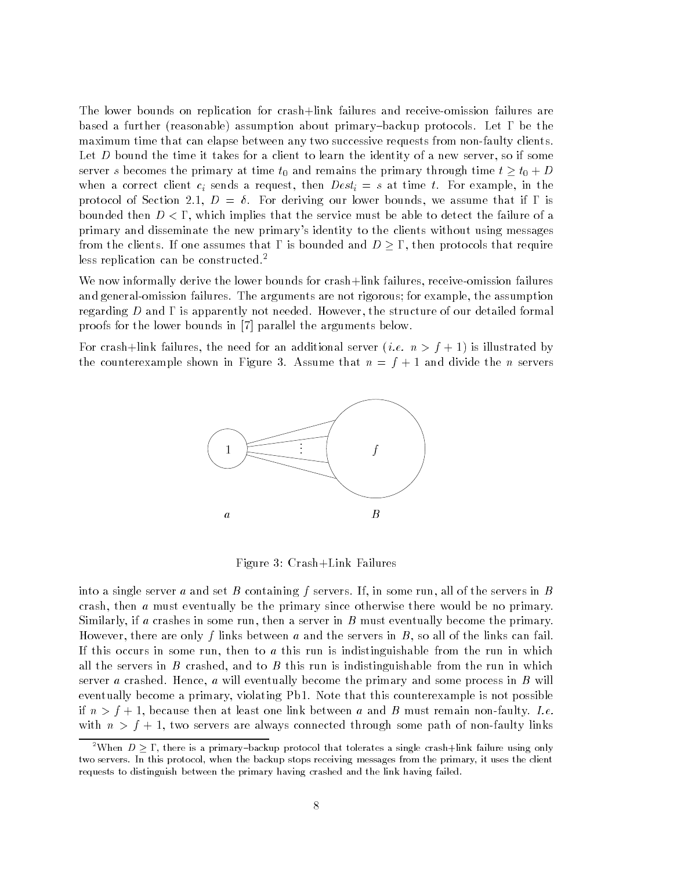The lower bounds on replication for crashlink failures and receive-omission failures are based a further (reasonable) assumption about primary-backup protocols. Let  $\Gamma$  be the maximum time time that can easy two successive requests from non-requests from non-requests from non-requests Let  $D$  bound the time it takes for a client to learn the identity of a new server, so if some server s becomes the primary at time  $t_0$  and remains the primary through time  $t \ge t_0 + D$ when a correct client  $c_i$  sends a request, then  $Dest_i = s$  at time t. For example, in the protocol of Section 2.1,  $D = \delta$ . For deriving our lower bounds, we assume that if  $\Gamma$  is bounded then  $D < \Gamma$ , which implies that the service must be able to detect the failure of a primary and disseminate the new primarys identity to the clients without using messages from the clients. If one assumes that  $\Gamma$  is bounded and  $D \geq \Gamma$ , then protocols that require less replication can be constructed.<sup>2</sup>

We now informally derive the lower bounds for crashlink failures receive-omission failures and general-omission failures The arguments are not rigorous for example the assumption regarding  $D$  and  $\Gamma$  is apparently not needed. However, the structure of our detailed formal proofs for the lower bounds in  $[7]$  parallel the arguments below.

For crash-link failures, the need for an additional server (*i.e.*  $n > f + 1$ ) is illustrated by the counterexample shown in Figure 3. Assume that  $n = f + 1$  and divide the n servers



Figure 3: Crash+Link Failures

into a single server a and set B containing f servers. If, in some run, all of the servers in B crash, then a must eventually be the primary since otherwise there would be no primary. Similarly, if a crashes in some run, then a server in B must eventually become the primary. However, there are only f links between a and the servers in  $B$ , so all of the links can fail. If this occurs in some run, then to  $a$  this run is indistinguishable from the run in which all the servers in B crashed, and to B this run is indistinguishable from the run in which server a crashed. Hence, a will eventually become the primary and some process in  $B$  will eventually become a primary, violating Pb1. Note that this counterexample is not possible if if a proposal theory is least one line between and B must remain the must remain non-mono-proposal the contr with a faulty links are always connected through some path of non-terminal path of non-terminal some path of n

<sup>-</sup>When  $D\geq 1$ , there is a primary-backup protocol that tolerates a single crash-link failure using only two servers- an this protocol when the stops representing messages from the primary, it uses the client requests to distinguish between the primary having crashed and the link having failed-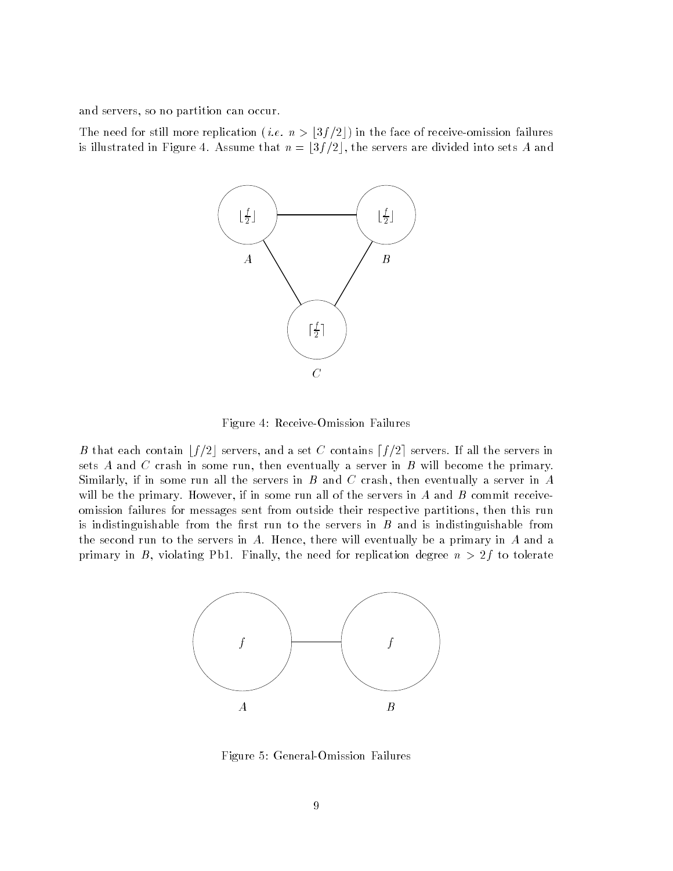and servers, so no partition can occur.

The need for still more replication ie n bf c in the face of receive-omission failures is illustrated in Figure 4. Assume that  $n = \lfloor 3f/2 \rfloor$ , the servers are divided into sets A and



Figure  Receive-Omission Failures

B that each contain  $\lfloor f/2 \rfloor$  servers, and a set C contains  $\lfloor f/2 \rfloor$  servers. If all the servers in sets  $A$  and  $C$  crash in some run, then eventually a server in  $B$  will become the primary. Similarly, if in some run all the servers in  $B$  and  $C$  crash, then eventually a server in  $A$ will be the primary. However, if in some run all of the servers in  $A$  and  $B$  commit receiveomission failures for messages sent from outside their respective partitions then this run is indistinguishable from the first run to the servers in  $B$  and is indistinguishable from the second run to the servers in  $A$ . Hence, there will eventually be a primary in  $A$  and a primary in B, violating Pb1. Finally, the need for replication degree  $n > 2f$  to tolerate



Figure  General-Omission Failures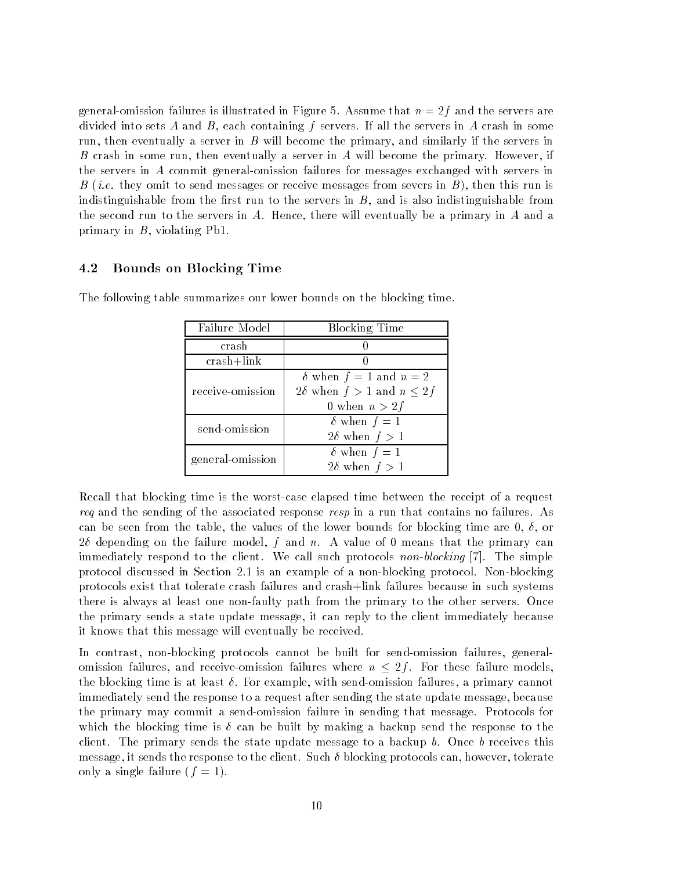omission failures is illustrated in Figure . The servers are not all the servers are n f and the servers are n f and the servers are n f and the servers are n f and the servers are n f and the servers are n f and the serv divided into sets A and B, each containing f servers. If all the servers in A crash in some run, then eventually a server in  $B$  will become the primary, and similarly if the servers in B crash in some run, then eventually a server in A will become the primary. However, if  $\mathbf{M}$  committee for messages exchanges exchanged with servers in  $\mathbf{M}$ B *(i.e.* they omit to send messages or receive messages from severs in B), then this run is indistinguishable from the first run to the servers in  $B$ , and is also indistinguishable from the second run to the servers in  $A$ . Hence, there will eventually be a primary in  $A$  and a primary in  $B$ , violating Pb1.

#### 4.2 Bounds on Blocking Time

| Failure Model    | <b>Blocking Time</b>                                                                           |
|------------------|------------------------------------------------------------------------------------------------|
| crash            |                                                                                                |
| $crash+link$     |                                                                                                |
| receive-omission | $\delta$ when $f = 1$ and $n = 2$<br>$2\delta$ when $f > 1$ and $n \leq 2f$<br>0 when $n > 2f$ |
| send-omission    | $\delta$ when $f=1$<br>$2\delta$ when $f > 1$                                                  |
| general-omission | $\delta$ when $f=1$<br>$2\delta$ when $f > 1$                                                  |

The following table summarizes our lower bounds on the blocking time

Recall that blocking time is the worst-case elapsed time between the receipt of a request req and the sending of the associated response resp in a run that contains no failures. As can be seen from the table, the values of the lower bounds for blocking time are 0,  $\delta$ , or  $2\delta$  depending on the failure model, f and n. A value of 0 means that the primary can immediately respond to the client. We call such protocols non-blocking  $[7]$ . The simple protocol discussed in Section is an example of a non-blocking protocol Non-blocking protocols exist that tolerate crash failures and crash+link failures because in such systems there is always at least one non-faulty path from the primary to the other servers Once the primary sends a state update message it can reply to the client immediately because it knows that this message will eventually be received

In contrast non-blocking protocols cannot be built for send-omission failures generalomission failures and receive-ceive-ceive-ceive-ceive-ceive-ceive-ceive-ceive-ceive-ceive-ceive-ceive-ceive-c the blocking time is at least For example with send-omission failures a primary cannot immediately send the response to a request after sending the state update message, because the primary may commit a send-omission failure in sending that message Protocols for which the blocking time is  $\delta$  can be built by making a backup send the response to the client. The primary sends the state update message to a backup  $b$ . Once  $b$  receives this message, it sends the response to the client. Such  $\delta$  blocking protocols can, however, tolerate only a single failure  $(f = 1)$ .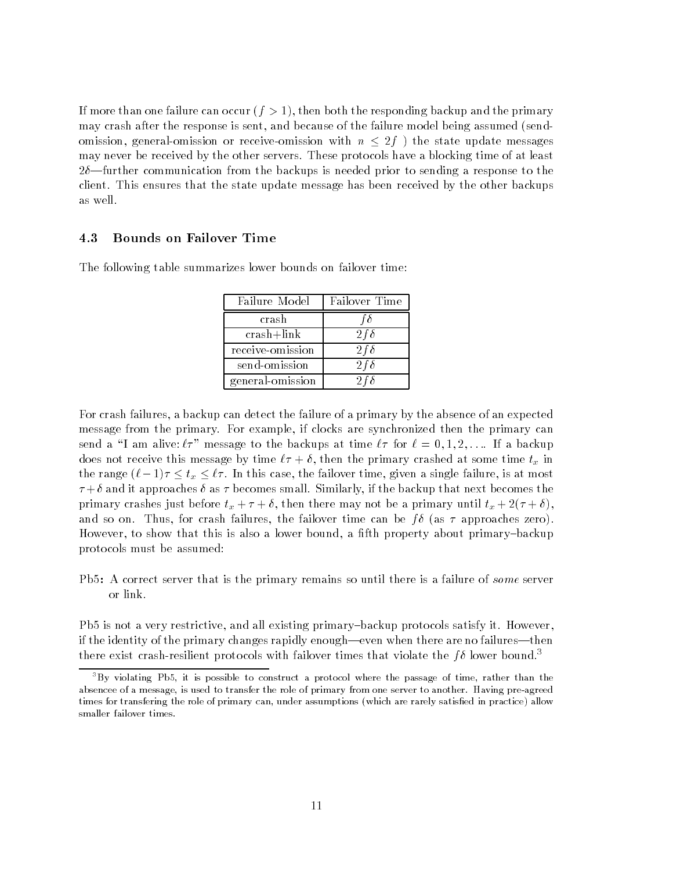If more than one failure can occur  $(f > 1)$ , then both the responding backup and the primary may crash after the response is sent, and because of the failure model being assumed (sendomission general-messages in the state community of the state of the state messages of the state messages of t may never be received by the other servers These protocols have a blocking time of at least  $2\delta$ —further communication from the backups is needed prior to sending a response to the client. This ensures that the state update message has been received by the other backups as well

#### Bounds on Failover Time  $4.3$

The following table summarizes lower bounds on failover time

| Failure Model    | Failover Time |
|------------------|---------------|
| crash            |               |
| $crash+link$     | $2f\delta$    |
| receive-omission | $2f\delta$    |
| send-omission    | $2f\delta$    |
| general-omission | 2 f S         |

For crash failures, a backup can detect the failure of a primary by the absence of an expected message from the primary. For example, if clocks are synchronized then the primary can send a I am alive to the backups at time  $\mathbb{I}$  and  $\mathbb{I}$  are time  $\mathbb{I}$  and  $\mathbb{I}$  and  $\mathbb{I}$  are time  $\mathbb{I}$ does not receive this message by time  $\ell \tau + \delta$ , then the primary crashed at some time  $t_x$  in the range  $(\ell - 1)\tau \le t_x \le \ell\tau$ . In this case, the failover time, given a single failure, is at most  $\tau + \delta$  and it approaches  $\delta$  as  $\tau$  becomes small. Similarly, if the backup that next becomes the primary crashes just before  $t_x + \tau + \delta$ , then there may not be a primary until  $t_x + 2(\tau + \delta)$ , and so on. Thus, for crash failures, the failover time can be  $f\delta$  (as  $\tau$  approaches zero). However, to show that this is also a lower bound, a fifth property about primary-backup protocols must be assumed

Pb5: A correct server that is the primary remains so until there is a failure of *some* server or link

Pb5 is not a very restrictive, and all existing primary-backup protocols satisfy it. However, if the identity of the primary changes rapidly enough—even when there are no failures—then there exist crash-resilient protocols with failover times that violate the  $f\theta$  lower bound. The

By violating Pb5, it is possible to construct a protocol where the passage of time, rather than the the construction of the construction of the construction of the construction of the construction of the construction of th absencee of a message is used to transfer the role of primary from one server to another- Having preagreed times for transfering the role of primary can under assumptions which are rarely satised in practice allow smaller failover times.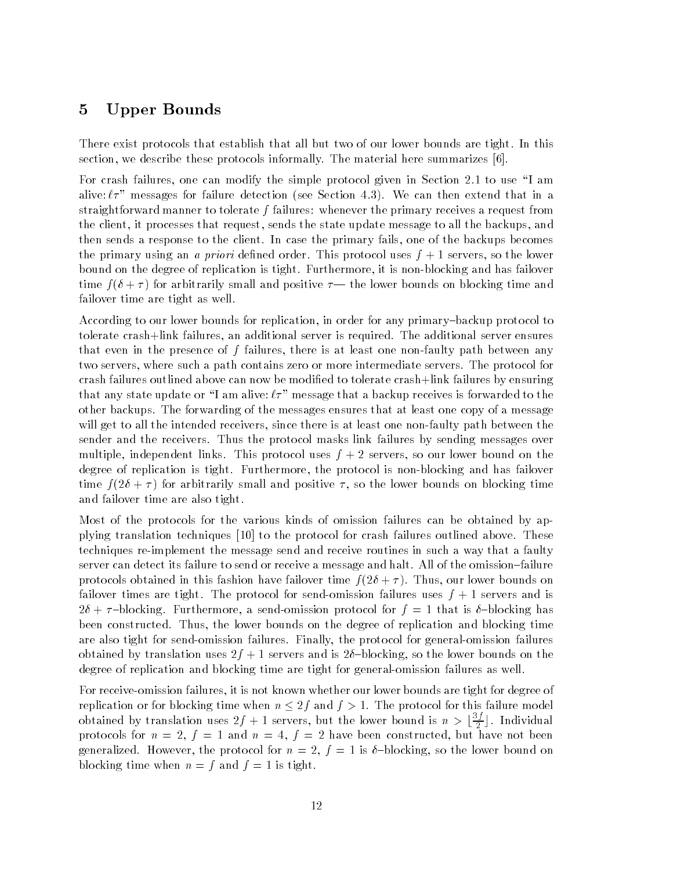# 5 Upper Bounds

There exist protocols that establish that all but two of our lower bounds are tight. In this section, we describe these protocols informally. The material here summarizes [6].

For crash failures, one can modify the simple protocol given in Section  $2.1$  to use "I am alive:  $\ell \tau$ " messages for failure detection (see Section 4.3). We can then extend that in a straightforward manner to tolerate  $f$  failures: whenever the primary receives a request from the client, it processes that request, sends the state update message to all the backups, and then sends a response to the client. In case the primary fails, one of the backups becomes the primary using an a priori defined order. This protocol uses  $f + 1$  servers, so the lower bound on the degree of replication is tight Furthermore it is non-blocking and has failover time  $f(\delta + \tau)$  for arbitrarily small and positive  $\tau$ — the lower bounds on blocking time and failover time are tight as well

According to our lower bounds for replication, in order for any primary-backup protocol to tolerate crash+link failures, an additional server is required. The additional server ensures that even in the presence of f failures there is at least one non-faulty path between any two servers, where such a path contains zero or more intermediate servers. The protocol for crash failures outlined above can now be modified to tolerate crash+link failures by ensuring that any state update or "I am alive:  $\ell \tau$ " message that a backup receives is forwarded to the other backups The forwarding of the messages ensures that at least one copy of a message will get to all the intended receivers since there is at least one non-faulty path between the sender and the receivers. Thus the protocol masks link failures by sending messages over multiple, independent links. This protocol uses  $f + 2$  servers, so our lower bound on the degree of replication is tight Furthermore the protocol is non-blocking and has failover time  $f(2\delta + \tau)$  for arbitrarily small and positive  $\tau$ , so the lower bounds on blocking time and failover time are also tight

Most of the protocols for the various kinds of omission failures can be obtained by applying translation techniques  $(10)$  to the protocol for crash failures outlined above. These techniques re-implement the message send and receive routines in suchaway that a faulty server can detect its failure to send or receive a message and halt. All of the omission-failure protocols obtained in this fashion have failover time  $f(2\delta + \tau)$ . Thus, our lower bounds on failover times are tight The protocol for send-omission failures uses f servers and is blocking Furthermore a send-omission protocol for f that is blocking has been constructed. Thus, the lower bounds on the degree of replication and blocking time are also tight for send-omission failures Finally the protocol for general-omission failures obtained by translation uses  $2f + 1$  servers and is  $2\delta$ -blocking, so the lower bounds on the degree of replication and blocking time are tight for general-omission failures as well

For receive-omission failures it is not known whether our lower bounds are tight for degree of replication or for blocking time when  $n \leq 2f$  and  $f > 1$ . The protocol for this failure model obtained by translation uses  $2f + 1$  servers, but the lower bound is  $n > \frac{12}{15}$ . - c Individual protocols for  $n = 2$ ,  $f = 1$  and  $n = 4$ ,  $f = 2$  have been constructed, but have not been generalized. However, the protocol for  $n = 2$ ,  $f = 1$  is  $\delta$ -blocking, so the lower bound on blocking time when  $n = f$  and  $f = 1$  is tight.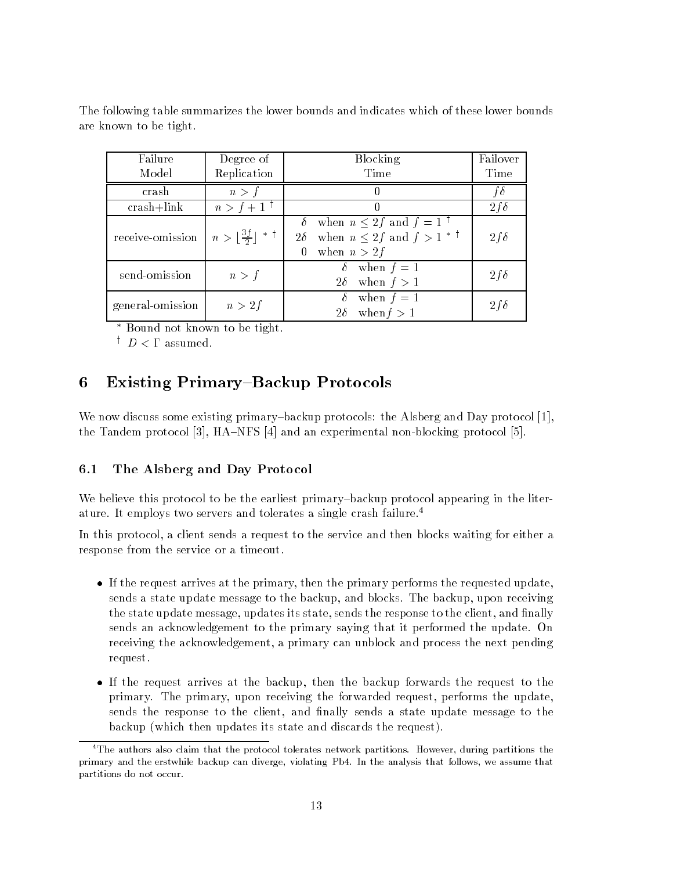| Failure          | Degree of                                  | Blocking                                                                                                                                     | Failover   |
|------------------|--------------------------------------------|----------------------------------------------------------------------------------------------------------------------------------------------|------------|
| Model            | Replication                                | Time                                                                                                                                         | Time       |
| crash            | n > f                                      |                                                                                                                                              | $f\delta$  |
| $crash+link$     | $n > f + 1$ <sup>†</sup>                   | 0                                                                                                                                            | $2f\delta$ |
| receive-omission | $n > \left \frac{3f}{2}\right  * \uparrow$ | when $n \leq 2f$ and $f = 1$ <sup>†</sup><br>$\delta$<br>when $n \leq 2f$ and $f > 1$ <sup>*</sup><br>$2\delta$<br>when $n > 2f$<br>$\theta$ | $2f\delta$ |
| send-omission    | n > f                                      | $\delta$ when $f=1$<br>$2\delta$ when $f > 1$                                                                                                | $2f\delta$ |
| general-omission | n > 2f                                     | when $f=1$<br>$\delta$<br>$2\delta$ when $f > 1$                                                                                             | $2f\delta$ |

The following table summarizes the lower bounds and indicates which of these lower bounds are known to be tight

Bound not known to be tight

<sup>†</sup>  $D < \Gamma$  assumed.

# $\sim$ Existing Primary-Backup Protocols

We now discuss some existing primary-backup protocols: the Alsberg and Day protocol [1], the Tandem protocol HA NFS and an experimental non-blocking protocol

### $6.1$ The Alsberg and Day Protocol

We believe this protocol to be the earliest primary-backup protocol appearing in the literature. It employs two servers and tolerates a single crash failure.<sup>4</sup>

In this protocol, a client sends a request to the service and then blocks waiting for either a response from the service or a timeout

- If the request arrives at the primary, then the primary performs the requested update, sends a state update message to the backup, and blocks. The backup, upon receiving the state update message, updates its state, sends the response to the client, and finally sends an acknowledgement to the primary saying that it performed the update. On receiving the acknowledgement a primary can unblock and process the next pending request
- If the request arrives at the backup then the backup forwards the request to the primary. The primary, upon receiving the forwarded request, performs the update, sends the response to the client, and finally sends a state update message to the backup (which then updates its state and discards the request).

The authors also claim that the protocol tolerates network partitions. However, during partitions the the primary and the erstwhile backup can diverge violating a backup can diverge that follows we assume that the s partitions do not occur.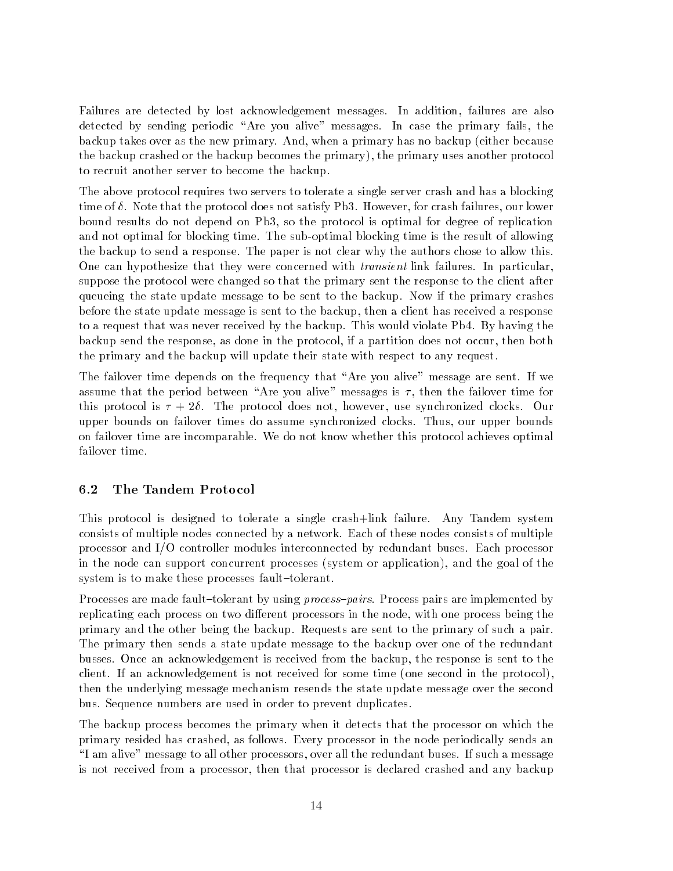Failures are detected by lost acknowledgement messages. In addition, failures are also detected by sending periodic "Are you alive" messages. In case the primary fails, the backup takes over as the new primary. And, when a primary has no backup (either because the backup crashed or the backup becomes the primary), the primary uses another protocol to recruit another server to become the backup

The above protocol requires two servers to tolerate a single server crash and has a blocking time of  $\delta$ . Note that the protocol does not satisfy Pb3. However, for crash failures, our lower bound results do not depend on Pb3, so the protocol is optimal for degree of replication and not optimal for blocking time The sub-optimal blocking time is the result of allowing the backup to send a response The paper is not clear why the authors chose to allow this One can hypothesize that they were concerned with *transient* link failures. In particular, suppose the protocol were changed so that the primary sent the response to the client after queueing the state update message to be sent to the backup. Now if the primary crashes before the state update message is sent to the backup then a client has received a response to a request that was never received by the backup. This would violate Pb4. By having the backup send the response, as done in the protocol, if a partition does not occur, then both the primary and the backup will update their state with respect to any request

The failover time depends on the frequency that "Are you alive" message are sent. If we assume that the period between "Are you alive" messages is  $\tau$ , then the failover time for this protocol is  $\tau + 2\delta$ . The protocol does not, however, use synchronized clocks. Our upper bounds on failover times do assume synchronized clocks. Thus, our upper bounds on failover time are incomparable We do not know whether this protocol achieves optimal failover time

#### 6.2 The Tandem Protocol

This protocol is designed to tolerate a single crash-link failure. Any Tandem system consists of multiple nodes connected by a network Each of these nodes consists of multiple processor and  $I/O$  controller modules interconnected by redundant buses. Each processor in the node can support concurrent processes (system or application), and the goal of the system is to make these processes fault-tolerant.

Processes are made fault tolerant by using process-pairs Process pairs are implemented by replicating each process on two di erent processors in the node with one process being the primary and the other being the backup. Requests are sent to the primary of such a pair. The primary then sends a state update message to the backup over one of the redundant busses. Once an acknowledgement is received from the backup, the response is sent to the client. If an acknowledgement is not received for some time (one second in the protocol), then the underlying message mechanism resends the state update message over the second bus. Sequence numbers are used in order to prevent duplicates.

The backup process becomes the primary when it detects that the processor on which the primary resided has crashed as follows Every processor in the node periodically sends an "I am alive" message to all other processors, over all the redundant buses. If such a message is not received from a processor then that processor is declared crashed and any backup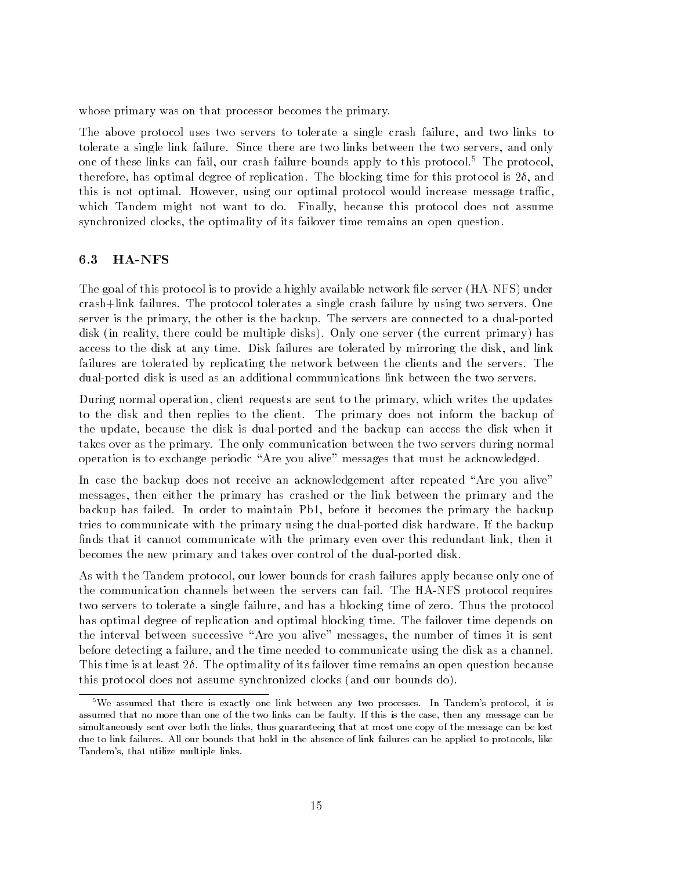whose primary was on that processor becomes the primary.

The above protocol uses two servers to tolerate a single crash failure, and two links to tolerate a single link failure. Since there are two links between the two servers, and only one of these links can fail, our crash failure bounds apply to this protocol.<sup>5</sup> The protocol, therefore, has optimal degree of replication. The blocking time for this protocol is  $2\delta$ , and this is not optimal. However, using our optimal protocol would increase message traffic, which Tandem might not want to do. Finally, because this protocol does not assume synchronized clocks, the optimality of its failover time remains an open question.

#### 6.3 HA-NFS

The goal of this protocol is to provide a highly available network le server HA-NFS under crash+link failures. The protocol tolerates a single crash failure by using two servers. One server is the primary the other is the backup The servers are connected to a dual-ported disk (in reality, there could be multiple disks). Only one server (the current primary) has access to the disk at any time. Disk failures are tolerated by mirroring the disk, and link failures are tolerated by replicating the network between the clients and the servers. The dual-ported disk is used as an additional communications link between the two servers

During normal operation, client requests are sent to the primary, which writes the updates to the disk and then replies to the client The primary does not inform the backup of the update because the disk is dual-ported and the backup can access the disk when it disk when takes over as the primary The only communication between the two servers during normal operation is to exchange periodic "Are you alive" messages that must be acknowledged.

In case the backup does not receive an acknowledgement after repeated "Are you alive" messages then either the primary has crashed or the link between the primary and the backup has failed. In order to maintain Pb1, before it becomes the primary the backup tries to communicate with the primary using the dual-ported disk hardware If the backup finds that it cannot communicate with the primary even over this redundant link, then it becomes the new primary and takes over control of the dual-ported disk

As with the Tandem protocol, our lower bounds for crash failures apply because only one of the communication channels between the servers can fail The HA-NFS protocol requires two servers to tolerate a single failure, and has a blocking time of zero. Thus the protocol has optimal degree of replication and optimal blocking time The failover time depends on the interval between successive "Are you alive" messages, the number of times it is sent before detecting a failure, and the time needed to communicate using the disk as a channel. This time is at least  $2\delta$ . The optimality of its failover time remains an open question because this protocol does not assume synchronized clocks (and our bounds do).

We assumed that there is exactly one link between any two processes. In Tandem's protocol, it is the assumed that no more than one of the two links can be faulty-faulty-faulty-faulty-faulty-faulty-faulty-faulty-faulty-faulty-faulty-faulty-faulty-faulty-faulty-faulty-faulty-faulty-faulty-faulty-faulty-faulty-faulty-faulty simultaneously sent over both the links thus guaranteeing that at most one copy of the message can be lost due to link failures- All our bounds that hold in the absence of link failures can be applied to protocols like Tandems that utilize multiple links-that utilize multiple links-that utilize multiple links-that utilize multipl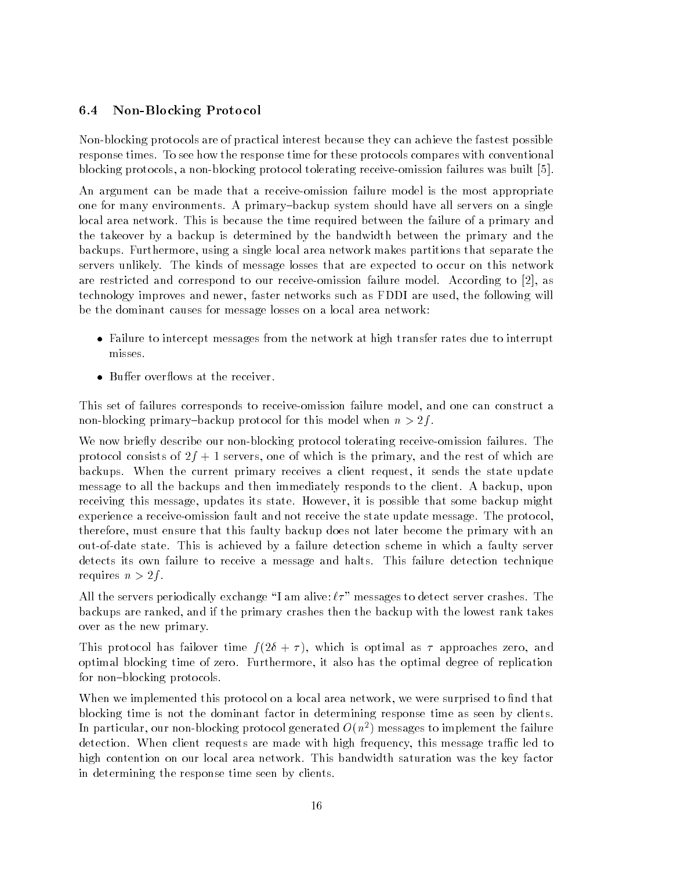### Non-Blocking Protocol  $6.4$

Non-blocking protocols are of practical interest because they can achieve the fastest possible response times. To see how the response time for these protocols compares with conventional blocking protocols a non-blocking protocol tolerating receive-omission failures was built

An argument can be made that a receive-omission failure model is the most appropriate one for many environments. A primary-backup system should have all servers on a single local area network This is because the time required between the failure of a primary and the takeover by a backup is determined by the bandwidth between the primary and the backups. Furthermore, using a single local area network makes partitions that separate the servers unlikely The kinds of message losses that are expected to occur on this network are restricted and correspond to our receive-omission failure model According to as technology improves and newer, faster networks such as FDDI are used, the following will be the dominant causes for message losses on a local area network

- Failure to intercept messages from the network at high transfer rates due to interrupt misses
- 

This set of failures corresponds to receive-omission failure model and one can construct a non-blocking primary backup protocol for this model when n f

we now because the contract of the secretation of the collection  $\mathcal{A}$  , and the contract of the collection of the collection of the collection of the collection of the collection of the collection of the collection of protocol consists of  $2f + 1$  servers, one of which is the primary, and the rest of which are backups. When the current primary receives a client request, it sends the state update message to all the backups and then immediately responds to the client. A backup, upon receiving this message, updates its state. However, it is possible that some backup might experience a receive-omission fault and not receive the state update message The protocol therefore, must ensure that this faulty backup does not later become the primary with an out-dated this is achieved by a failure the state  $\alpha$  , and the factories in which are in which a factories o detects its own failure to receive a message and halts. This failure detection technique requires  $n > 2f$ .

All the servers periodically exchange "I am alive:  $\ell \tau$ " messages to detect server crashes. The backups are ranked, and if the primary crashes then the backup with the lowest rank takes over as the new primary

This protocol has failover time  $f(2\delta + \tau)$ , which is optimal as  $\tau$  approaches zero, and optimal blocking time of zero Furthermore it also has the optimal degree of replication for non-blocking protocols.

When we implemented this protocol on a local area network, we were surprised to find that blocking time is not the dominant factor in determining response time as seen by clients In particular, our non-blocking protocol generated  $O(n^-)$  messages to implement the failure detection. When client requests are made with high frequency, this message traffic led to high contention on our local area network This bandwidth saturation was the key factor in determining the response time seen by clients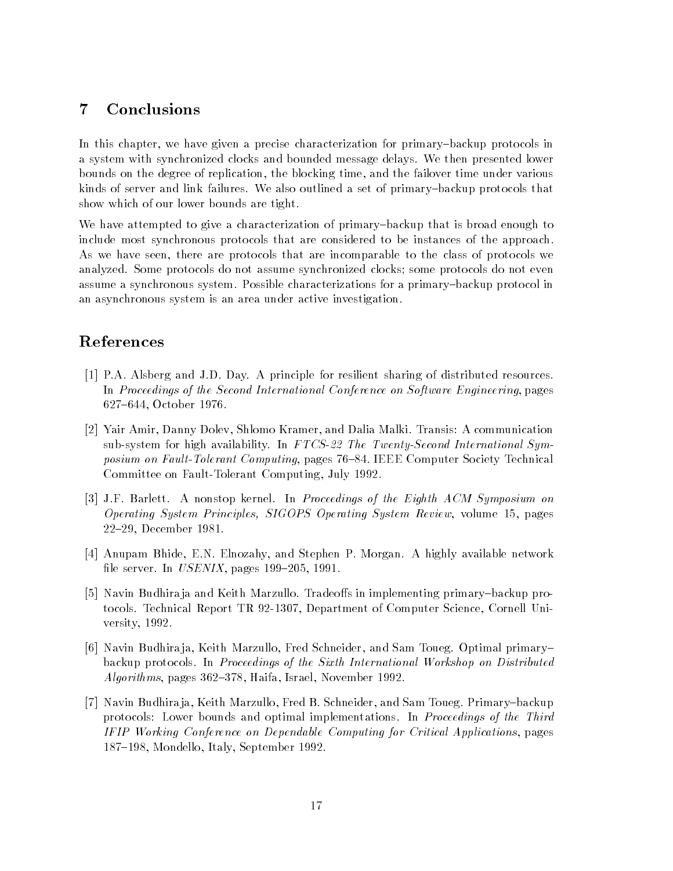# $\overline{7}$ Conclusions

In this chapter, we have given a precise characterization for primary-backup protocols in a system with synchronized clocks and bounded message delays. We then presented lower bounds on the degree of replication, the blocking time, and the failover time under various kinds of server and link failures. We also outlined a set of primary-backup protocols that show which of our lower bounds are tight

We have attempted to give a characterization of primary-backup that is broad enough to include most synchronous protocols that are considered to be instances of the approach As we have seen, there are protocols that are incomparable to the class of protocols we analyzed. Some protocols do not assume synchronized clocks; some protocols do not even assume a synchronous system. Possible characterizations for a primary-backup protocol in an asynchronous system is an area under active investigation

# References

- [1] P.A. Alsberg and J.D. Day. A principle for resilient sharing of distributed resources. In Proceedings of the Second International Conference on Software Engineering pages 627-644, October 1976.
- [2] Yair Amir, Danny Dolev, Shlomo Kramer, and Dalia Malki. Transis: A communication sub-system for high availability In FTCS The TwentySecond International Sym posium on Fault-Tolerant Computing, pages  $76-84$ . IEEE Computer Society Technical Committee on Fault-Tolerant Computing July
- [3] J.F. Barlett. A nonstop kernel. In *Proceedings of the Eighth ACM Symposium on* Operating System Principles, SIGOPS Operating System Review, volume 15, pages 22-29, December 1981.
- [4] Anupam Bhide, E.N. Elnozahy, and Stephen P. Morgan. A highly available network file server. In *USENIX*, pages  $199-205$ ,  $1991$ .
- Navin Budhira ja and Keith Marzullo Tradeo s in implementing primary backup protocols Technical Report TR - Department of Computer Science Cornell University, 1992.
- [6] Navin Budhiraja, Keith Marzullo, Fred Schneider, and Sam Toueg. Optimal primarybackup protocols. In Proceedings of the Sixth International Workshop on Distributed  $Algorithms$ , pages  $362-378$ , Haifa, Israel, November 1992.
- [7] Navin Budhira ja, Keith Marzullo, Fred B. Schneider, and Sam Toueg. Primary-backup protocols Lower bounds and optimal implementations In Proceedings of the Third IFIP Working Conference on Dependable Computing for Critical Applications pages 187–198, Mondello, Italy, September 1992.